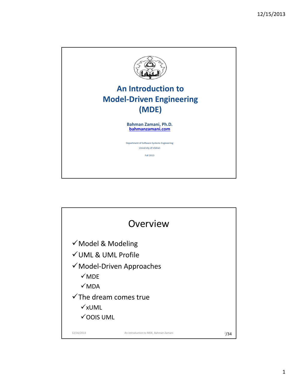

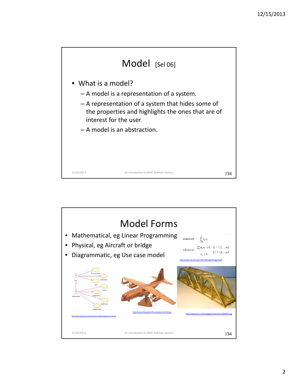

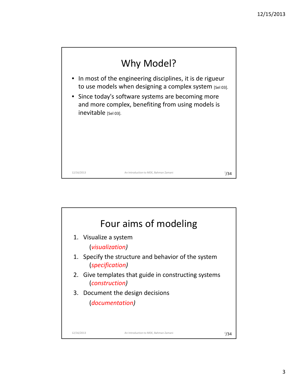

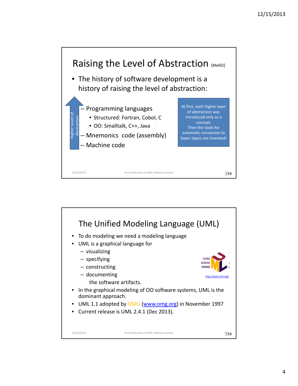

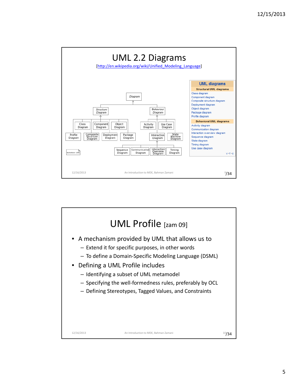

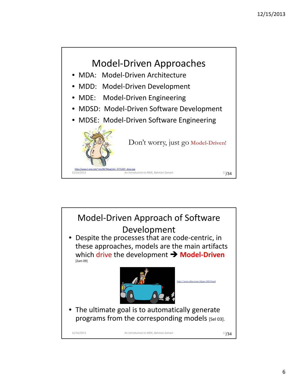

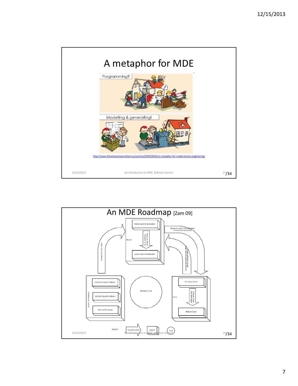

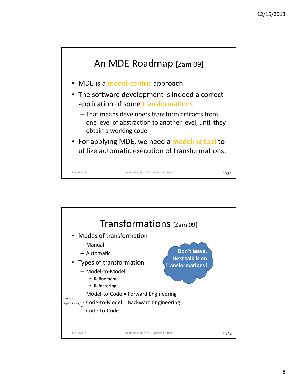

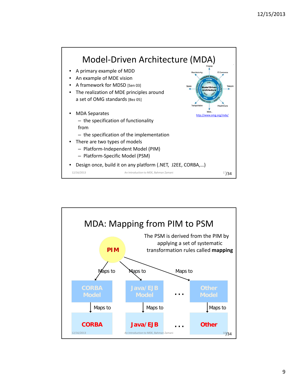

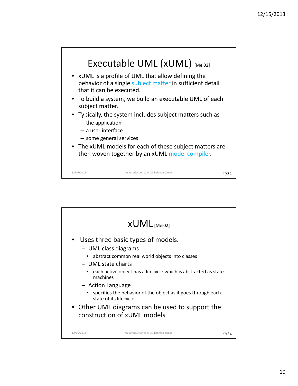

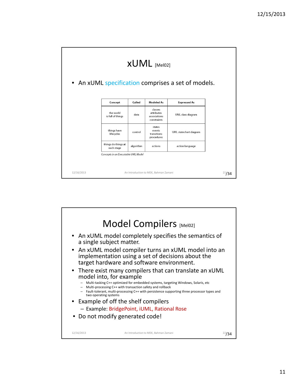|            |                                       |           | $xUML$ [Mel02]                                       | • An xUML specification comprises a set of models. |            |
|------------|---------------------------------------|-----------|------------------------------------------------------|----------------------------------------------------|------------|
|            | Concept                               | Called    | <b>Modeled As</b>                                    | <b>Expressed As</b>                                |            |
|            | the world<br>is full of things        | data      | classes<br>attributes<br>associations<br>constraints | UML class diagram                                  |            |
|            | things have<br>lifecycles             | control   | states<br>events<br>transitions<br>procedures        | UML statechart diagram                             |            |
|            | things do things at<br>each stage     | algorithm | actions                                              | action language                                    |            |
|            | Concepts in an Executable UML Model   |           |                                                      |                                                    |            |
|            |                                       |           |                                                      |                                                    |            |
| 12/16/2013 | An Introduction to MDE, Bahman Zamani |           |                                                      |                                                    | $^{21}/34$ |

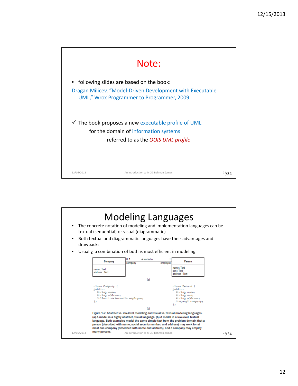

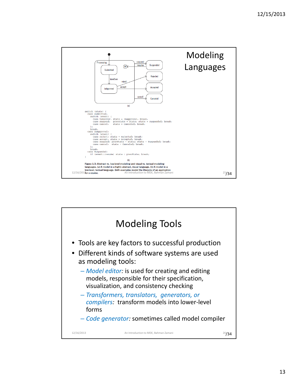

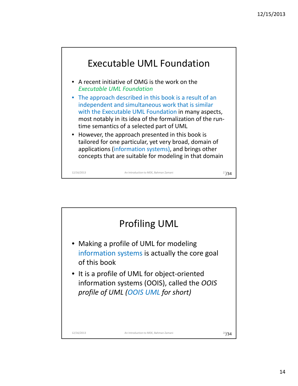

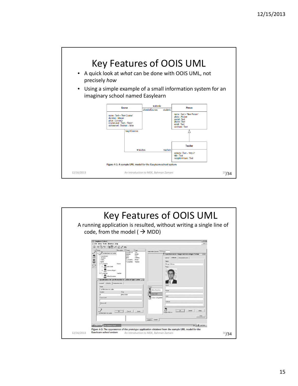

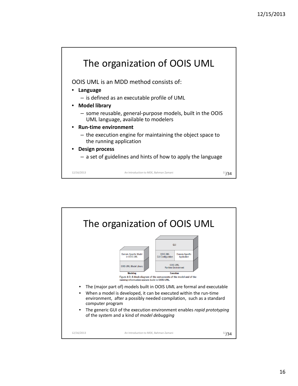